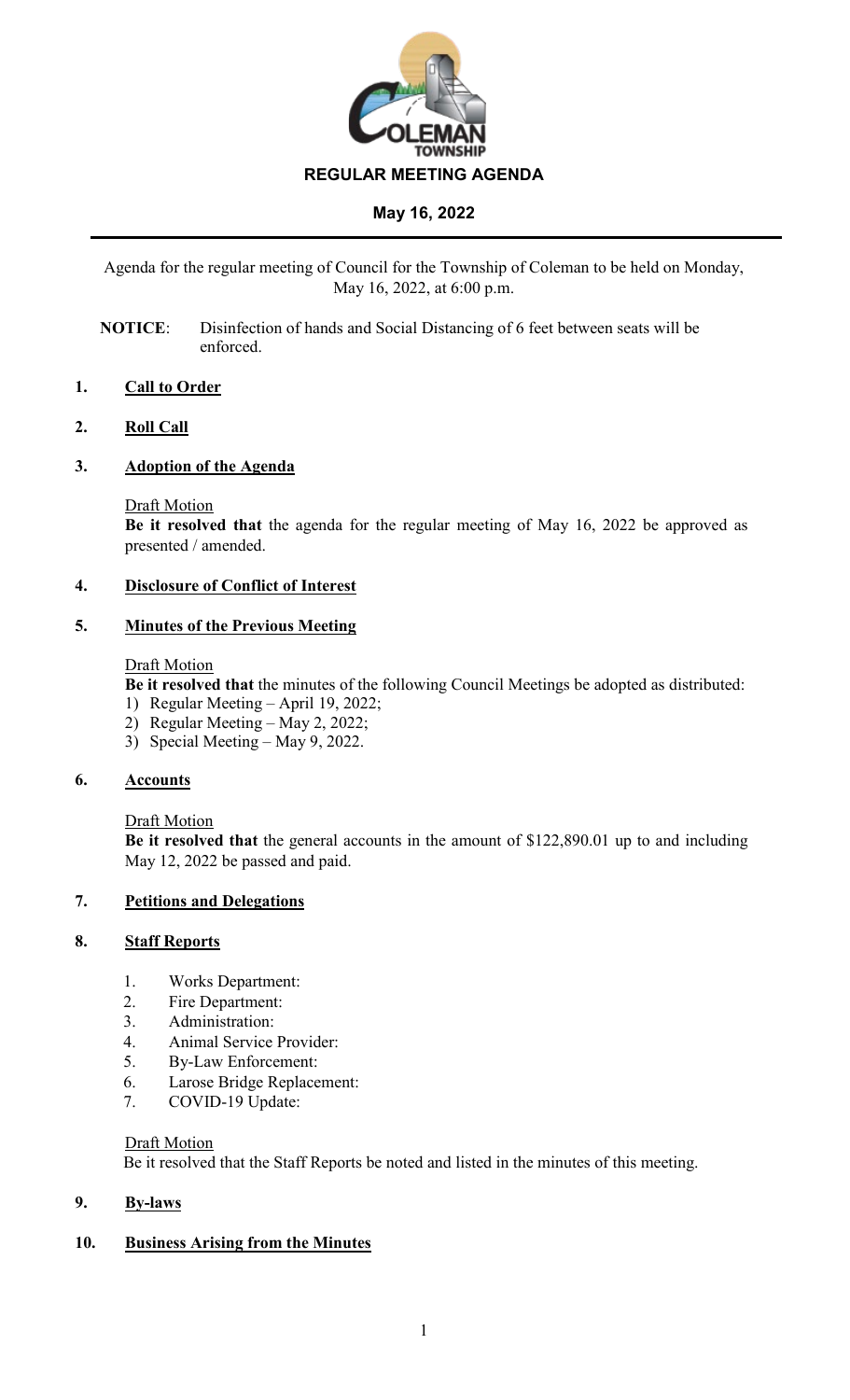

Agenda for the regular meeting of Council for the Township of Coleman to be held on Monday, May 16, 2022, at 6:00 p.m.

**NOTICE**: Disinfection of hands and Social Distancing of 6 feet between seats will be enforced.

# **1. Call to Order**

### **2. Roll Call**

### **3. Adoption of the Agenda**

#### Draft Motion

**Be it resolved that** the agenda for the regular meeting of May 16, 2022 be approved as presented / amended.

### **4. Disclosure of Conflict of Interest**

### **5. Minutes of the Previous Meeting**

#### Draft Motion

**Be it resolved that** the minutes of the following Council Meetings be adopted as distributed:

- 1) Regular Meeting April 19, 2022;
- 2) Regular Meeting May 2, 2022;
- 3) Special Meeting May 9, 2022.

# **6. Accounts**

#### Draft Motion

**Be it resolved that** the general accounts in the amount of \$122,890.01 up to and including May 12, 2022 be passed and paid.

# **7. Petitions and Delegations**

# **8. Staff Reports**

- 1. Works Department:
- 2. Fire Department:
- 3. Administration:
- 4. Animal Service Provider:
- 5. By-Law Enforcement:
- 6. Larose Bridge Replacement:
- 7. COVID-19 Update:

#### Draft Motion

Be it resolved that the Staff Reports be noted and listed in the minutes of this meeting.

# **9. By-laws**

# **10. Business Arising from the Minutes**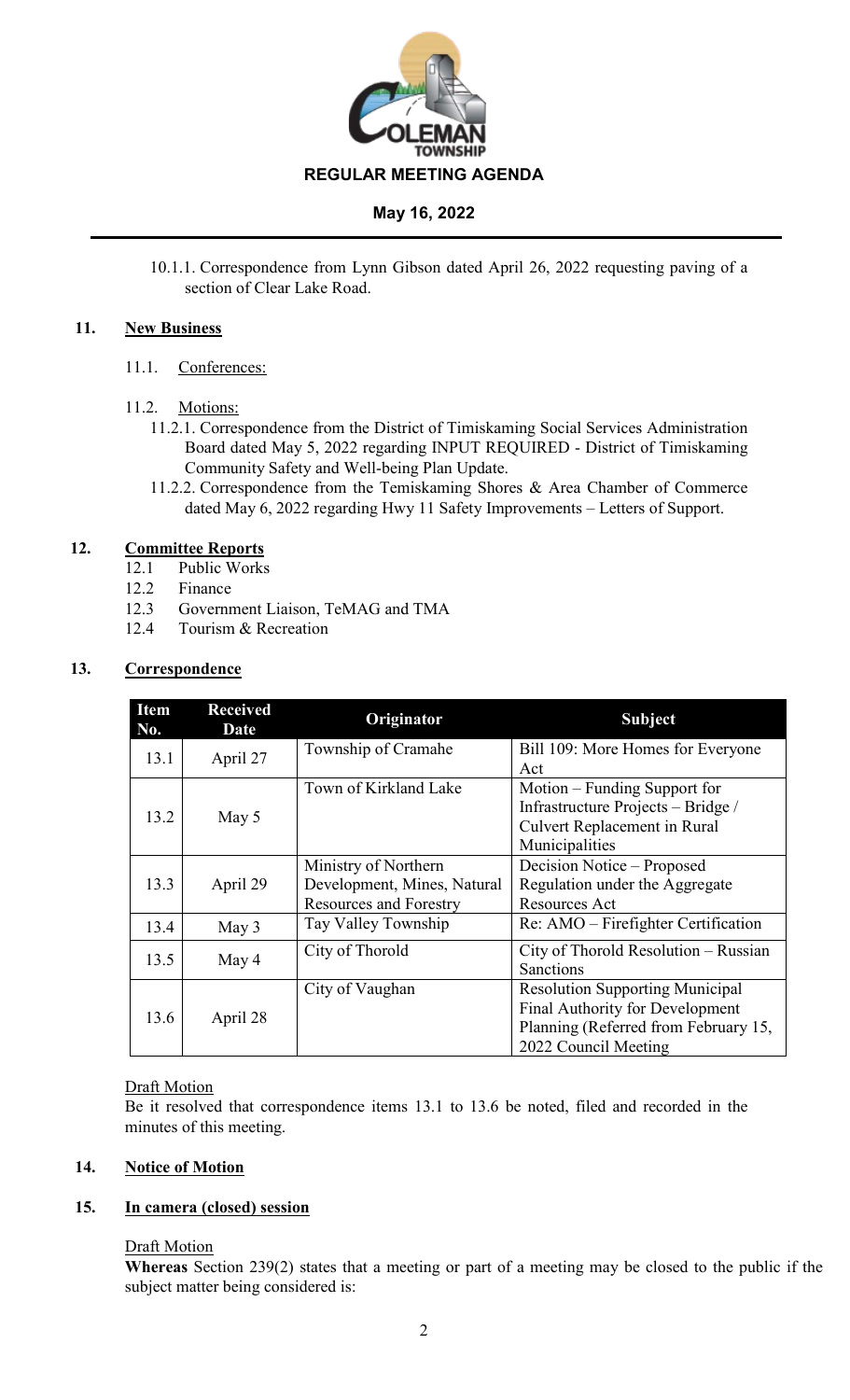

10.1.1. Correspondence from Lynn Gibson dated April 26, 2022 requesting paving of a section of Clear Lake Road.

# **11. New Business**

- 11.1. Conferences:
- 11.2. Motions:
	- 11.2.1. Correspondence from the District of Timiskaming Social Services Administration Board dated May 5, 2022 regarding INPUT REQUIRED - District of Timiskaming Community Safety and Well-being Plan Update.
	- 11.2.2. Correspondence from the Temiskaming Shores & Area Chamber of Commerce dated May 6, 2022 regarding Hwy 11 Safety Improvements – Letters of Support.

# **12. Committee Reports**

- 12.1 Public Works
- 12.2 Finance
- 12.3 Government Liaison, TeMAG and TMA
- 12.4 Tourism & Recreation

# **13. Correspondence**

| <b>Item</b><br>No. | <b>Received</b><br>Date | Originator                    | <b>Subject</b>                         |  |
|--------------------|-------------------------|-------------------------------|----------------------------------------|--|
| 13.1               | April 27                | Township of Cramahe           | Bill 109: More Homes for Everyone      |  |
|                    |                         |                               | Act                                    |  |
| 13.2               | May 5                   | Town of Kirkland Lake         | Motion – Funding Support for           |  |
|                    |                         |                               | Infrastructure Projects - Bridge /     |  |
|                    |                         |                               | Culvert Replacement in Rural           |  |
|                    |                         |                               | Municipalities                         |  |
|                    |                         | Ministry of Northern          | Decision Notice – Proposed             |  |
| 13.3               | April 29                | Development, Mines, Natural   | Regulation under the Aggregate         |  |
|                    |                         | <b>Resources and Forestry</b> | Resources Act                          |  |
| 13.4               | May 3                   | Tay Valley Township           | Re: AMO – Firefighter Certification    |  |
|                    |                         | City of Thorold               | City of Thorold Resolution – Russian   |  |
| 13.5               | May 4                   |                               | Sanctions                              |  |
|                    |                         | City of Vaughan               | <b>Resolution Supporting Municipal</b> |  |
| 13.6               | April 28                |                               | Final Authority for Development        |  |
|                    |                         |                               | Planning (Referred from February 15,   |  |
|                    |                         |                               | 2022 Council Meeting                   |  |

# Draft Motion

Be it resolved that correspondence items 13.1 to 13.6 be noted, filed and recorded in the minutes of this meeting.

# **14. Notice of Motion**

# **15. In camera (closed) session**

# Draft Motion

**Whereas** Section 239(2) states that a meeting or part of a meeting may be closed to the public if the subject matter being considered is: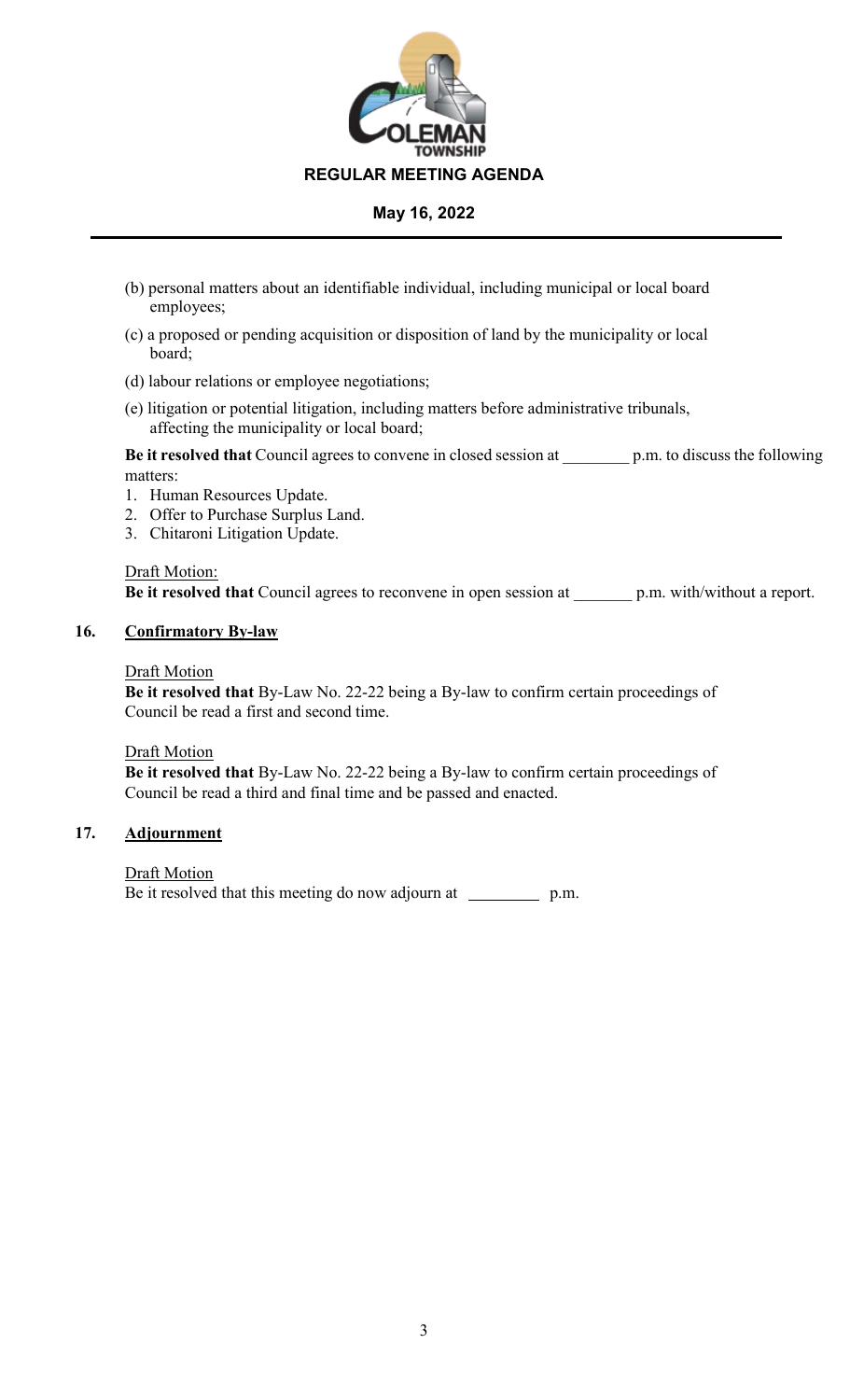

- (b) personal matters about an identifiable individual, including municipal or local board employees;
- (c) a proposed or pending acquisition or disposition of land by the municipality or local board;
- (d) labour relations or employee negotiations;
- (e) litigation or potential litigation, including matters before administrative tribunals, affecting the municipality or local board;

**Be it resolved that** Council agrees to convene in closed session at \_\_\_\_\_\_\_\_ p.m. to discuss the following matters:

- 1. Human Resources Update.
- 2. Offer to Purchase Surplus Land.
- 3. Chitaroni Litigation Update.

Draft Motion: **Be it resolved that** Council agrees to reconvene in open session at p.m. with/without a report.

# **16. Confirmatory By-law**

#### Draft Motion

**Be it resolved that** By-Law No. 22-22 being a By-law to confirm certain proceedings of Council be read a first and second time.

Draft Motion

**Be it resolved that** By-Law No. 22-22 being a By-law to confirm certain proceedings of Council be read a third and final time and be passed and enacted.

# **17. Adjournment**

**Draft Motion** Be it resolved that this meeting do now adjourn at \_\_\_\_\_\_\_\_\_\_\_ p.m.